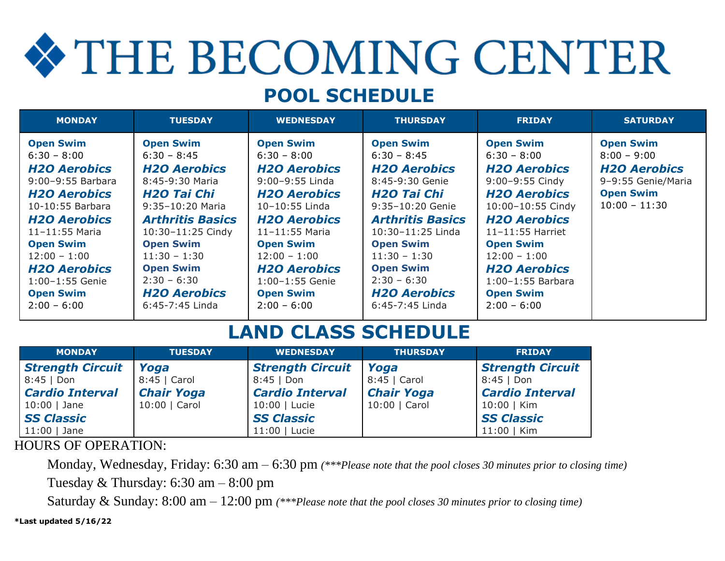# THE BECOMING CENTER

# **POOL SCHEDULE**

| <b>MONDAY</b>                                                                                                                                                                                                                                                                              | <b>TUESDAY</b>                                                                                                                                                                                                                                                                                  | <b>WEDNESDAY</b>                                                                                                                                                                                                                                                                       | <b>THURSDAY</b>                                                                                                                                                                                                                                                                                 | <b>FRIDAY</b>                                                                                                                                                                                                                                                                                   | <b>SATURDAY</b>                                                                                                       |
|--------------------------------------------------------------------------------------------------------------------------------------------------------------------------------------------------------------------------------------------------------------------------------------------|-------------------------------------------------------------------------------------------------------------------------------------------------------------------------------------------------------------------------------------------------------------------------------------------------|----------------------------------------------------------------------------------------------------------------------------------------------------------------------------------------------------------------------------------------------------------------------------------------|-------------------------------------------------------------------------------------------------------------------------------------------------------------------------------------------------------------------------------------------------------------------------------------------------|-------------------------------------------------------------------------------------------------------------------------------------------------------------------------------------------------------------------------------------------------------------------------------------------------|-----------------------------------------------------------------------------------------------------------------------|
| <b>Open Swim</b><br>$6:30 - 8:00$<br><b>H2O Aerobics</b><br>9:00-9:55 Barbara<br><b>H2O Aerobics</b><br>10-10:55 Barbara<br><b>H2O Aerobics</b><br>$11 - 11:55$ Maria<br><b>Open Swim</b><br>$12:00 - 1:00$<br><b>H2O Aerobics</b><br>1:00-1:55 Genie<br><b>Open Swim</b><br>$2:00 - 6:00$ | <b>Open Swim</b><br>$6:30 - 8:45$<br><b>H2O Aerobics</b><br>8:45-9:30 Maria<br>H <sub>20</sub> Tai Chi<br>9:35-10:20 Maria<br><b>Arthritis Basics</b><br>10:30-11:25 Cindy<br><b>Open Swim</b><br>$11:30 - 1:30$<br><b>Open Swim</b><br>$2:30 - 6:30$<br><b>H2O Aerobics</b><br>6:45-7:45 Linda | <b>Open Swim</b><br>$6:30 - 8:00$<br><b>H2O Aerobics</b><br>9:00-9:55 Linda<br><b>H2O Aerobics</b><br>10-10:55 Linda<br><b>H2O Aerobics</b><br>$11 - 11:55$ Maria<br><b>Open Swim</b><br>$12:00 - 1:00$<br><b>H2O Aerobics</b><br>1:00-1:55 Genie<br><b>Open Swim</b><br>$2:00 - 6:00$ | <b>Open Swim</b><br>$6:30 - 8:45$<br><b>H2O Aerobics</b><br>8:45-9:30 Genie<br>H <sub>20</sub> Tai Chi<br>9:35-10:20 Genie<br><b>Arthritis Basics</b><br>10:30-11:25 Linda<br><b>Open Swim</b><br>$11:30 - 1:30$<br><b>Open Swim</b><br>$2:30 - 6:30$<br><b>H2O Aerobics</b><br>6:45-7:45 Linda | <b>Open Swim</b><br>$6:30 - 8:00$<br><b>H2O Aerobics</b><br>9:00-9:55 Cindy<br><b>H2O Aerobics</b><br>10:00-10:55 Cindy<br><b>H2O Aerobics</b><br>$11 - 11:55$ Harriet<br><b>Open Swim</b><br>$12:00 - 1:00$<br><b>H2O Aerobics</b><br>$1:00-1:55$ Barbara<br><b>Open Swim</b><br>$2:00 - 6:00$ | <b>Open Swim</b><br>$8:00 - 9:00$<br><b>H2O Aerobics</b><br>9-9:55 Genie/Maria<br><b>Open Swim</b><br>$10:00 - 11:30$ |

# **LAND CLASS SCHEDULE**

| <b>MONDAY</b>           | <b>TUESDAY</b>    | <b>WEDNESDAY</b>        | <b>THURSDAY</b>   | <b>FRIDAY</b>           |
|-------------------------|-------------------|-------------------------|-------------------|-------------------------|
| <b>Strength Circuit</b> | Yoga              | <b>Strength Circuit</b> | <b>Yoga</b>       | <b>Strength Circuit</b> |
| $8:45$   Don            | 8:45   Carol      | $8:45$   Don            | 8:45   Carol      | $8:45$   Don            |
| <b>Cardio Interval</b>  | <b>Chair Yoga</b> | <b>Cardio Interval</b>  | <b>Chair Yoga</b> | <b>Cardio Interval</b>  |
| $10:00$   Jane          | 10:00   Carol     | 10:00   Lucie           | 10:00   Carol     | $10:00$   Kim           |
| <b>SS Classic</b>       |                   | <b>SS Classic</b>       |                   | <b>SS Classic</b>       |
| $11:00$   Jane          |                   | 11:00   Lucie           |                   | 11:00   Kim             |

#### HOURS OF OPERATION:

Monday, Wednesday, Friday: 6:30 am – 6:30 pm *(\*\*\*Please note that the pool closes 30 minutes prior to closing time)* Tuesday & Thursday: 6:30 am – 8:00 pm

Saturday & Sunday: 8:00 am – 12:00 pm *(\*\*\*Please note that the pool closes 30 minutes prior to closing time)*